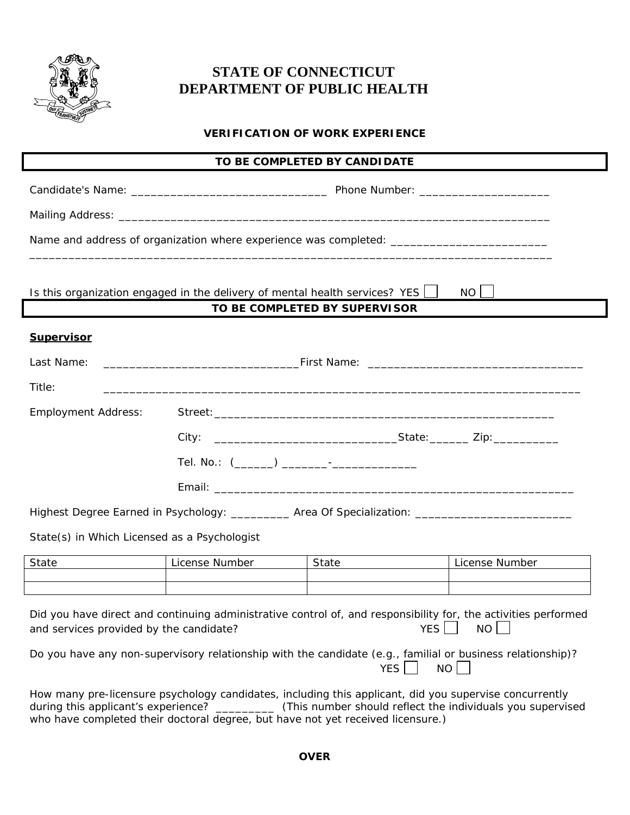

## **STATE OF CONNECTICUT DEPARTMENT OF PUBLIC HEALTH**

## **VERIFICATION OF WORK EXPERIENCE**

| TO BE COMPLETED BY CANDIDATE                                                       |                |                               |                                                                                                                                 |  |  |  |
|------------------------------------------------------------------------------------|----------------|-------------------------------|---------------------------------------------------------------------------------------------------------------------------------|--|--|--|
|                                                                                    |                |                               |                                                                                                                                 |  |  |  |
|                                                                                    |                |                               |                                                                                                                                 |  |  |  |
|                                                                                    |                |                               | Name and address of organization where experience was completed: ___________________________________                            |  |  |  |
| Is this organization engaged in the delivery of mental health services? YES $\Box$ |                | TO BE COMPLETED BY SUPERVISOR | $NO$                                                                                                                            |  |  |  |
| <b>Supervisor</b>                                                                  |                |                               |                                                                                                                                 |  |  |  |
|                                                                                    |                |                               |                                                                                                                                 |  |  |  |
| Last Name:                                                                         |                |                               |                                                                                                                                 |  |  |  |
| Title:                                                                             |                |                               |                                                                                                                                 |  |  |  |
| <b>Employment Address:</b>                                                         |                |                               |                                                                                                                                 |  |  |  |
|                                                                                    |                |                               |                                                                                                                                 |  |  |  |
|                                                                                    |                |                               |                                                                                                                                 |  |  |  |
|                                                                                    |                |                               |                                                                                                                                 |  |  |  |
|                                                                                    |                |                               | Highest Degree Earned in Psychology: __________ Area Of Specialization: ____________________________                            |  |  |  |
| State(s) in Which Licensed as a Psychologist                                       |                |                               |                                                                                                                                 |  |  |  |
| State <u>__________</u>                                                            | License Number | State <u>__________</u>       | License Number                                                                                                                  |  |  |  |
|                                                                                    |                |                               |                                                                                                                                 |  |  |  |
| and services provided by the candidate?                                            |                |                               | Did you have direct and continuing administrative control of, and responsibility for, the activities performed<br>YES    <br>NO |  |  |  |

| Do you have any non-supervisory relationship with the candidate (e.g., familial or business relationship)? |                    |  |
|------------------------------------------------------------------------------------------------------------|--------------------|--|
|                                                                                                            | $YES \Box NO \Box$ |  |

How many pre-licensure psychology candidates, including this applicant, did you supervise concurrently during this applicant's experience? \_\_\_\_\_\_\_\_\_\_ (This number should reflect the individuals you supervised who have completed their doctoral degree, but have not yet received licensure.)